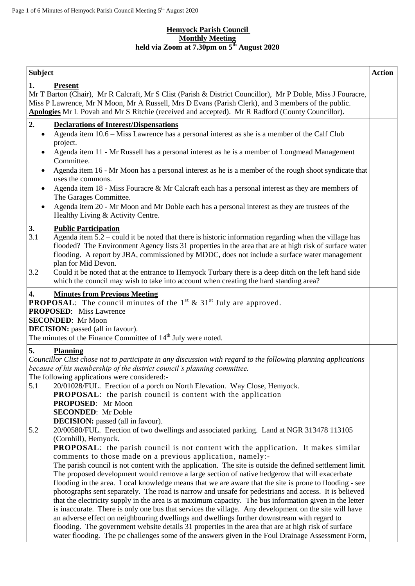#### **Hemyock Parish Council Monthly Meeting held via Zoom at 7.30pm on 5 th August 2020**

| <b>Subject</b>                                                                                                                                                                                                                                                                                                                                                                                                                                                                                                                                                                                                                                                                                                                                                                                                                                                                                                                                                                                                                                                                                                                                                                                                                                                                                                                                                                                                                                                                                                                                                                                                                                                                                                                                                                     | <b>Action</b> |
|------------------------------------------------------------------------------------------------------------------------------------------------------------------------------------------------------------------------------------------------------------------------------------------------------------------------------------------------------------------------------------------------------------------------------------------------------------------------------------------------------------------------------------------------------------------------------------------------------------------------------------------------------------------------------------------------------------------------------------------------------------------------------------------------------------------------------------------------------------------------------------------------------------------------------------------------------------------------------------------------------------------------------------------------------------------------------------------------------------------------------------------------------------------------------------------------------------------------------------------------------------------------------------------------------------------------------------------------------------------------------------------------------------------------------------------------------------------------------------------------------------------------------------------------------------------------------------------------------------------------------------------------------------------------------------------------------------------------------------------------------------------------------------|---------------|
| <b>Present</b><br>1.<br>Mr T Barton (Chair), Mr R Calcraft, Mr S Clist (Parish & District Councillor), Mr P Doble, Miss J Fouracre,<br>Miss P Lawrence, Mr N Moon, Mr A Russell, Mrs D Evans (Parish Clerk), and 3 members of the public.<br>Apologies Mr L Povah and Mr S Ritchie (received and accepted). Mr R Radford (County Councillor).                                                                                                                                                                                                                                                                                                                                                                                                                                                                                                                                                                                                                                                                                                                                                                                                                                                                                                                                                                                                                                                                                                                                                                                                                                                                                                                                                                                                                                      |               |
| 2.<br><b>Declarations of Interest/Dispensations</b><br>Agenda item 10.6 - Miss Lawrence has a personal interest as she is a member of the Calf Club<br>$\bullet$<br>project.<br>Agenda item 11 - Mr Russell has a personal interest as he is a member of Longmead Management<br>Committee.<br>Agenda item 16 - Mr Moon has a personal interest as he is a member of the rough shoot syndicate that<br>uses the commons.<br>Agenda item 18 - Miss Fouracre & Mr Calcraft each has a personal interest as they are members of<br>$\bullet$<br>The Garages Committee.<br>Agenda item 20 - Mr Moon and Mr Doble each has a personal interest as they are trustees of the<br>٠<br>Healthy Living & Activity Centre.                                                                                                                                                                                                                                                                                                                                                                                                                                                                                                                                                                                                                                                                                                                                                                                                                                                                                                                                                                                                                                                                     |               |
| 3.<br><b>Public Participation</b><br>3.1<br>Agenda item $5.2$ – could it be noted that there is historic information regarding when the village has<br>flooded? The Environment Agency lists 31 properties in the area that are at high risk of surface water<br>flooding. A report by JBA, commissioned by MDDC, does not include a surface water management<br>plan for Mid Devon.<br>3.2<br>Could it be noted that at the entrance to Hemyock Turbary there is a deep ditch on the left hand side<br>which the council may wish to take into account when creating the hard standing area?                                                                                                                                                                                                                                                                                                                                                                                                                                                                                                                                                                                                                                                                                                                                                                                                                                                                                                                                                                                                                                                                                                                                                                                      |               |
| <b>Minutes from Previous Meeting</b><br>4.<br><b>PROPOSAL:</b> The council minutes of the $1^{st}$ & $31^{st}$ July are approved.<br><b>PROPOSED:</b> Miss Lawrence<br><b>SECONDED:</b> Mr Moon<br><b>DECISION:</b> passed (all in favour).<br>The minutes of the Finance Committee of $14th$ July were noted.                                                                                                                                                                                                                                                                                                                                                                                                                                                                                                                                                                                                                                                                                                                                                                                                                                                                                                                                                                                                                                                                                                                                                                                                                                                                                                                                                                                                                                                                     |               |
| <b>Planning</b><br>5.<br>Councillor Clist chose not to participate in any discussion with regard to the following planning applications<br>because of his membership of the district council's planning committee.<br>The following applications were considered:-<br>5.1<br>20/01028/FUL. Erection of a porch on North Elevation. Way Close, Hemyock.<br><b>PROPOSAL:</b> the parish council is content with the application<br>PROPOSED: Mr Moon<br><b>SECONDED:</b> Mr Doble<br><b>DECISION:</b> passed (all in favour).<br>5.2<br>20/00580/FUL. Erection of two dwellings and associated parking. Land at NGR 313478 113105<br>(Cornhill), Hemyock.<br><b>PROPOSAL:</b> the parish council is not content with the application. It makes similar<br>comments to those made on a previous application, namely:-<br>The parish council is not content with the application. The site is outside the defined settlement limit.<br>The proposed development would remove a large section of native hedgerow that will exacerbate<br>flooding in the area. Local knowledge means that we are aware that the site is prone to flooding - see<br>photographs sent separately. The road is narrow and unsafe for pedestrians and access. It is believed<br>that the electricity supply in the area is at maximum capacity. The bus information given in the letter<br>is inaccurate. There is only one bus that services the village. Any development on the site will have<br>an adverse effect on neighbouring dwellings and dwellings further downstream with regard to<br>flooding. The government website details 31 properties in the area that are at high risk of surface<br>water flooding. The pc challenges some of the answers given in the Foul Drainage Assessment Form, |               |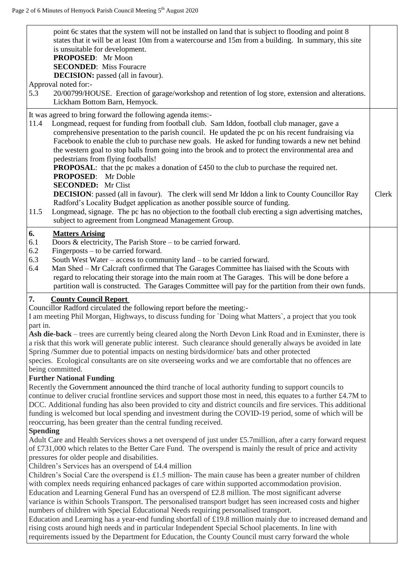| point 6c states that the system will not be installed on land that is subject to flooding and point 8<br>states that it will be at least 10m from a watercourse and 15m from a building. In summary, this site<br>is unsuitable for development.<br>PROPOSED: Mr Moon<br><b>SECONDED:</b> Miss Fouracre<br><b>DECISION:</b> passed (all in favour).                                                                                                                                                                                                                                                                                                                                                                                                                                                                                                                                                                                                                                                                                                  |       |
|------------------------------------------------------------------------------------------------------------------------------------------------------------------------------------------------------------------------------------------------------------------------------------------------------------------------------------------------------------------------------------------------------------------------------------------------------------------------------------------------------------------------------------------------------------------------------------------------------------------------------------------------------------------------------------------------------------------------------------------------------------------------------------------------------------------------------------------------------------------------------------------------------------------------------------------------------------------------------------------------------------------------------------------------------|-------|
| Approval noted for:-<br>20/00799/HOUSE. Erection of garage/workshop and retention of log store, extension and alterations.<br>5.3<br>Lickham Bottom Barn, Hemyock.                                                                                                                                                                                                                                                                                                                                                                                                                                                                                                                                                                                                                                                                                                                                                                                                                                                                                   |       |
| It was agreed to bring forward the following agenda items:-<br>Longmead, request for funding from football club. Sam Iddon, football club manager, gave a<br>11.4<br>comprehensive presentation to the parish council. He updated the pc on his recent fundraising via<br>Facebook to enable the club to purchase new goals. He asked for funding towards a new net behind<br>the western goal to stop balls from going into the brook and to protect the environmental area and<br>pedestrians from flying footballs!<br><b>PROPOSAL:</b> that the pc makes a donation of £450 to the club to purchase the required net.<br><b>PROPOSED:</b> Mr Doble<br><b>SECONDED:</b> Mr Clist<br><b>DECISION:</b> passed (all in favour). The clerk will send Mr Iddon a link to County Councillor Ray<br>Radford's Locality Budget application as another possible source of funding.<br>Longmead, signage. The pc has no objection to the football club erecting a sign advertising matches,<br>11.5<br>subject to agreement from Longmead Management Group. | Clerk |
| 6.<br><b>Matters Arising</b><br>6.1<br>Doors & electricity, The Parish Store $-$ to be carried forward.<br>6.2<br>Fingerposts $-$ to be carried forward.<br>6.3<br>South West Water – access to community land – to be carried forward.<br>Man Shed – Mr Calcraft confirmed that The Garages Committee has liaised with the Scouts with<br>6.4<br>regard to relocating their storage into the main room at The Garages. This will be done before a<br>partition wall is constructed. The Garages Committee will pay for the partition from their own funds.                                                                                                                                                                                                                                                                                                                                                                                                                                                                                          |       |
| <b>County Council Report</b><br>7.<br>Councillor Radford circulated the following report before the meeting:-<br>I am meeting Phil Morgan, Highways, to discuss funding for `Doing what Matters`, a project that you took                                                                                                                                                                                                                                                                                                                                                                                                                                                                                                                                                                                                                                                                                                                                                                                                                            |       |
| part in.<br>Ash die-back – trees are currently being cleared along the North Devon Link Road and in Exminster, there is<br>a risk that this work will generate public interest. Such clearance should generally always be avoided in late<br>Spring /Summer due to potential impacts on nesting birds/dormice/ bats and other protected<br>species. Ecological consultants are on site overseeing works and we are comfortable that no offences are<br>being committed.                                                                                                                                                                                                                                                                                                                                                                                                                                                                                                                                                                              |       |
| <b>Further National Funding</b><br>Recently the Government announced the third tranche of local authority funding to support councils to<br>continue to deliver crucial frontline services and support those most in need, this equates to a further £4.7M to<br>DCC. Additional funding has also been provided to city and district councils and fire services. This additional<br>funding is welcomed but local spending and investment during the COVID-19 period, some of which will be<br>reoccurring, has been greater than the central funding received.<br><b>Spending</b>                                                                                                                                                                                                                                                                                                                                                                                                                                                                   |       |
| Adult Care and Health Services shows a net overspend of just under £5.7million, after a carry forward request<br>of £731,000 which relates to the Better Care Fund. The overspend is mainly the result of price and activity<br>pressures for older people and disabilities.                                                                                                                                                                                                                                                                                                                                                                                                                                                                                                                                                                                                                                                                                                                                                                         |       |
| Children's Services has an overspend of £4.4 million<br>Children's Social Care the overspend is £1.5 million-The main cause has been a greater number of children<br>with complex needs requiring enhanced packages of care within supported accommodation provision.<br>Education and Learning General Fund has an overspend of £2.8 million. The most significant adverse<br>variance is within Schools Transport. The personalised transport budget has seen increased costs and higher<br>numbers of children with Special Educational Needs requiring personalised transport.<br>Education and Learning has a year-end funding shortfall of $£19.8$ million mainly due to increased demand and<br>rising costs around high needs and in particular Independent Special School placements. In line with<br>requirements issued by the Department for Education, the County Council must carry forward the whole                                                                                                                                  |       |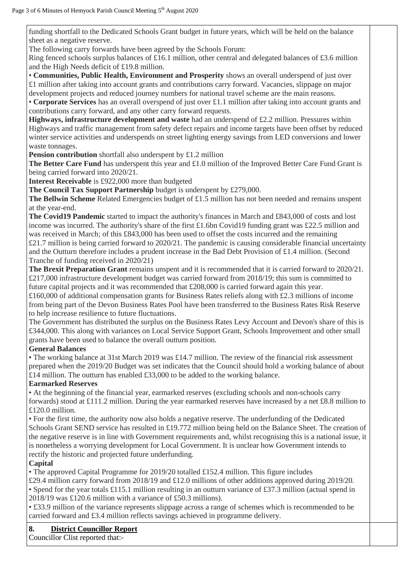funding shortfall to the Dedicated Schools Grant budget in future years, which will be held on the balance sheet as a negative reserve.

The following carry forwards have been agreed by the Schools Forum:

Ring fenced schools surplus balances of £16.1 million, other central and delegated balances of £3.6 million and the High Needs deficit of £19.8 million.

• **Communities, Public Health, Environment and Prosperity** shows an overall underspend of just over £1 million after taking into account grants and contributions carry forward. Vacancies, slippage on major development projects and reduced journey numbers for national travel scheme are the main reasons.

• **Corporate Services** has an overall overspend of just over £1.1 million after taking into account grants and contributions carry forward, and any other carry forward requests.

**Highways, infrastructure development and waste** had an underspend of £2.2 million. Pressures within Highways and traffic management from safety defect repairs and income targets have been offset by reduced winter service activities and underspends on street lighting energy savings from LED conversions and lower waste tonnages.

**Pension contribution** shortfall also underspent by £1.2 million

**The Better Care Fund** has underspent this year and £1.0 million of the Improved Better Care Fund Grant is being carried forward into 2020/21.

**Interest Receivable** is £922,000 more than budgeted

**The Council Tax Support Partnership** budget is underspent by £279,000.

**The Bellwin Scheme** Related Emergencies budget of £1.5 million has not been needed and remains unspent at the year-end.

**The Covid19 Pandemic** started to impact the authority's finances in March and £843,000 of costs and lost income was incurred. The authority's share of the first £1.6bn Covid19 funding grant was £22.5 million and was received in March; of this £843,000 has been used to offset the costs incurred and the remaining £21.7 million is being carried forward to 2020/21. The pandemic is causing considerable financial uncertainty and the Outturn therefore includes a prudent increase in the Bad Debt Provision of £1.4 million. (Second Tranche of funding received in 2020/21)

**The Brexit Preparation Grant** remains unspent and it is recommended that it is carried forward to 2020/21. £217,000 infrastructure development budget was carried forward from 2018/19; this sum is committed to future capital projects and it was recommended that  $\text{\pounds}208,000$  is carried forward again this year.

£160,000 of additional compensation grants for Business Rates reliefs along with £2.3 millions of income from being part of the Devon Business Rates Pool have been transferred to the Business Rates Risk Reserve to help increase resilience to future fluctuations.

The Government has distributed the surplus on the Business Rates Levy Account and Devon's share of this is £344,000. This along with variances on Local Service Support Grant, Schools Improvement and other small grants have been used to balance the overall outturn position.

## **General Balances**

• The working balance at 31st March 2019 was £14.7 million. The review of the financial risk assessment prepared when the 2019/20 Budget was set indicates that the Council should hold a working balance of about £14 million. The outturn has enabled £33,000 to be added to the working balance.

## **Earmarked Reserves**

• At the beginning of the financial year, earmarked reserves (excluding schools and non-schools carry forwards) stood at £111.2 million. During the year earmarked reserves have increased by a net £8.8 million to £120.0 million.

• For the first time, the authority now also holds a negative reserve. The underfunding of the Dedicated Schools Grant SEND service has resulted in £19.772 million being held on the Balance Sheet. The creation of the negative reserve is in line with Government requirements and, whilst recognising this is a national issue, it is nonetheless a worrying development for Local Government. It is unclear how Government intends to rectify the historic and projected future underfunding.

## **Capital**

• The approved Capital Programme for 2019/20 totalled £152.4 million. This figure includes

£29.4 million carry forward from 2018/19 and £12.0 millions of other additions approved during 2019/20. • Spend for the year totals £115.1 million resulting in an outturn variance of £37.3 million (actual spend in 2018/19 was £120.6 million with a variance of £50.3 millions).

• £33.9 million of the variance represents slippage across a range of schemes which is recommended to be carried forward and £3.4 million reflects savings achieved in programme delivery.

## **8. District Councillor Report**

Councillor Clist reported that:-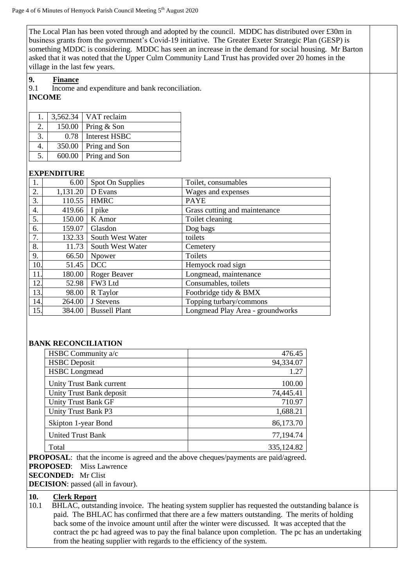The Local Plan has been voted through and adopted by the council. MDDC has distributed over £30m in business grants from the government's Covid-19 initiative. The Greater Exeter Strategic Plan (GESP) is something MDDC is considering. MDDC has seen an increase in the demand for social housing. Mr Barton asked that it was noted that the Upper Culm Community Land Trust has provided over 20 homes in the village in the last few years.

**9. Finance**

9.1 Income and expenditure and bank reconciliation.

# **INCOME**

| 1. |      | $3,562.34$ VAT reclaim |
|----|------|------------------------|
| 2. |      | $150.00$ Pring & Son   |
| 3. | 0.78 | <b>Interest HSBC</b>   |
| 4. |      | 350.00 Pring and Son   |
| 5. |      | 600.00   Pring and Son |

#### **EXPENDITURE**

| 1.               | 6.00     | Spot On Supplies     | Toilet, consumables              |
|------------------|----------|----------------------|----------------------------------|
| 2.               | 1,131.20 | D Evans              | Wages and expenses               |
| 3.               | 110.55   | <b>HMRC</b>          | <b>PAYE</b>                      |
| $\overline{4}$ . | 419.66   | I pike               | Grass cutting and maintenance    |
| 5.               | 150.00   | K Amor               | Toilet cleaning                  |
| 6.               | 159.07   | Glasdon              | Dog bags                         |
| 7.               | 132.33   | South West Water     | toilets                          |
| 8.               | 11.73    | South West Water     | Cemetery                         |
| 9.               | 66.50    | Npower               | Toilets                          |
| 10.              | 51.45    | <b>DCC</b>           | Hemyock road sign                |
| 11.              | 180.00   | Roger Beaver         | Longmead, maintenance            |
| 12.              | 52.98    | FW3 Ltd              | Consumables, toilets             |
| 13.              | 98.00    | R Taylor             | Footbridge tidy & BMX            |
| 14.              | 264.00   | J Stevens            | Topping turbary/commons          |
| 15.              | 384.00   | <b>Bussell Plant</b> | Longmead Play Area - groundworks |

#### **BANK RECONCILIATION**

| HSBC Community a/c         | 476.45     |
|----------------------------|------------|
| <b>HSBC</b> Deposit        | 94,334.07  |
| <b>HSBC</b> Longmead       | 1.27       |
| Unity Trust Bank current   | 100.00     |
| Unity Trust Bank deposit   | 74,445.41  |
| <b>Unity Trust Bank GF</b> | 710.97     |
| Unity Trust Bank P3        | 1,688.21   |
| Skipton 1-year Bond        | 86,173.70  |
| United Trust Bank          | 77,194.74  |
| Total                      | 335,124.82 |

**PROPOSAL**: that the income is agreed and the above cheques/payments are paid/agreed. **PROPOSED**: Miss Lawrence **SECONDED:** Mr Clist **DECISION**: passed (all in favour).

#### **10. Clerk Report**

10.1 BHLAC, outstanding invoice. The heating system supplier has requested the outstanding balance is paid. The BHLAC has confirmed that there are a few matters outstanding. The merits of holding back some of the invoice amount until after the winter were discussed. It was accepted that the contract the pc had agreed was to pay the final balance upon completion. The pc has an undertaking from the heating supplier with regards to the efficiency of the system.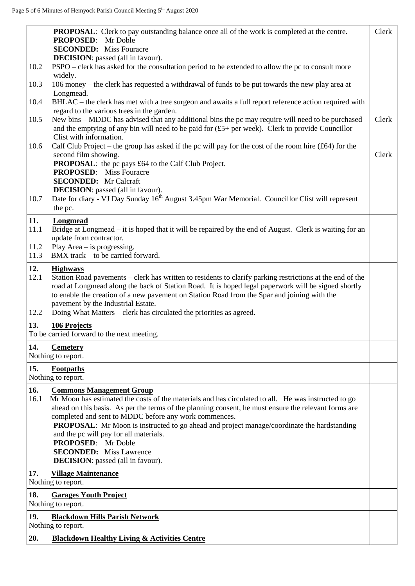|                     | <b>PROPOSAL:</b> Clerk to pay outstanding balance once all of the work is completed at the centre.<br><b>PROPOSED:</b> Mr Doble<br><b>SECONDED:</b> Miss Fouracre                                                                                                                                                                                                                                                                                                                                                               | Clerk |
|---------------------|---------------------------------------------------------------------------------------------------------------------------------------------------------------------------------------------------------------------------------------------------------------------------------------------------------------------------------------------------------------------------------------------------------------------------------------------------------------------------------------------------------------------------------|-------|
| 10.2                | <b>DECISION</b> : passed (all in favour).<br>PSPO – clerk has asked for the consultation period to be extended to allow the pc to consult more                                                                                                                                                                                                                                                                                                                                                                                  |       |
| 10.3                | widely.<br>106 money – the clerk has requested a withdrawal of funds to be put towards the new play area at                                                                                                                                                                                                                                                                                                                                                                                                                     |       |
| 10.4                | Longmead.<br>BHLAC – the clerk has met with a tree surgeon and awaits a full report reference action required with                                                                                                                                                                                                                                                                                                                                                                                                              |       |
| 10.5                | regard to the various trees in the garden.<br>New bins – MDDC has advised that any additional bins the pc may require will need to be purchased<br>and the emptying of any bin will need to be paid for $(f5+per \text{ week})$ . Clerk to provide Councillor                                                                                                                                                                                                                                                                   | Clerk |
| 10.6                | Clist with information.<br>Calf Club Project – the group has asked if the pc will pay for the cost of the room hire $(£64)$ for the<br>second film showing.                                                                                                                                                                                                                                                                                                                                                                     | Clerk |
|                     | PROPOSAL: the pc pays £64 to the Calf Club Project.<br><b>PROPOSED:</b> Miss Fouracre<br><b>SECONDED:</b> Mr Calcraft                                                                                                                                                                                                                                                                                                                                                                                                           |       |
| 10.7                | <b>DECISION</b> : passed (all in favour).<br>Date for diary - VJ Day Sunday 16 <sup>th</sup> August 3.45pm War Memorial. Councillor Clist will represent<br>the pc.                                                                                                                                                                                                                                                                                                                                                             |       |
| 11.<br>11.1<br>11.2 | Longmead<br>Bridge at Longmead – it is hoped that it will be repaired by the end of August. Clerk is waiting for an<br>update from contractor.<br>Play Area $-$ is progressing.                                                                                                                                                                                                                                                                                                                                                 |       |
| 11.3                | BMX track – to be carried forward.                                                                                                                                                                                                                                                                                                                                                                                                                                                                                              |       |
| 12.<br>12.1<br>12.2 | <b>Highways</b><br>Station Road pavements – clerk has written to residents to clarify parking restrictions at the end of the<br>road at Longmead along the back of Station Road. It is hoped legal paperwork will be signed shortly<br>to enable the creation of a new pavement on Station Road from the Spar and joining with the<br>pavement by the Industrial Estate.<br>Doing What Matters – clerk has circulated the priorities as agreed.                                                                                 |       |
| 13.                 | 106 Projects<br>To be carried forward to the next meeting.                                                                                                                                                                                                                                                                                                                                                                                                                                                                      |       |
| 14.                 | <b>Cemetery</b><br>Nothing to report.                                                                                                                                                                                                                                                                                                                                                                                                                                                                                           |       |
| 15.                 | Footpaths<br>Nothing to report.                                                                                                                                                                                                                                                                                                                                                                                                                                                                                                 |       |
| 16.                 | <b>Commons Management Group</b>                                                                                                                                                                                                                                                                                                                                                                                                                                                                                                 |       |
| 16.1                | Mr Moon has estimated the costs of the materials and has circulated to all. He was instructed to go<br>ahead on this basis. As per the terms of the planning consent, he must ensure the relevant forms are<br>completed and sent to MDDC before any work commences.<br><b>PROPOSAL:</b> Mr Moon is instructed to go ahead and project manage/coordinate the hardstanding<br>and the pc will pay for all materials.<br><b>PROPOSED:</b> Mr Doble<br><b>SECONDED:</b> Miss Lawrence<br><b>DECISION</b> : passed (all in favour). |       |
| 17.                 | <b>Village Maintenance</b><br>Nothing to report.                                                                                                                                                                                                                                                                                                                                                                                                                                                                                |       |
| 18.                 | <b>Garages Youth Project</b><br>Nothing to report.                                                                                                                                                                                                                                                                                                                                                                                                                                                                              |       |
| 19.                 | <b>Blackdown Hills Parish Network</b><br>Nothing to report.                                                                                                                                                                                                                                                                                                                                                                                                                                                                     |       |
| 20.                 | <b>Blackdown Healthy Living &amp; Activities Centre</b>                                                                                                                                                                                                                                                                                                                                                                                                                                                                         |       |